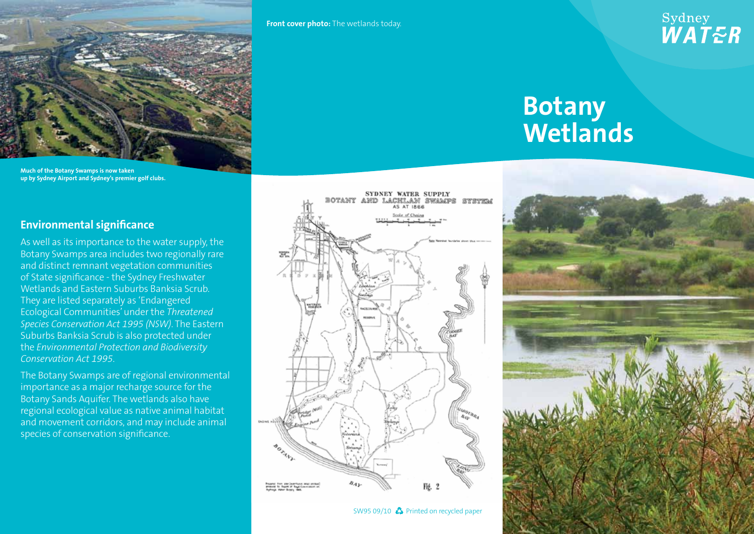

**Much of the Botany Swamps is now taken up by Sydney Airport and Sydney's premier golf clubs.**

## **Environmental significance**

As well as its importance to the water supply, the Botany Swamps area includes two regionally rare and distinct remnant vegetation communities of State significance - the Sydney Freshwater Wetlands and Eastern Suburbs Banksia Scrub. They are listed separately as 'Endangered Ecological Communities' under the *Threatened Species Conservation Act 1995 (NSW)*. The Eastern Suburbs Banksia Scrub is also protected under the *Environmental Protection and Biodiversity Conservation Act 1995*.

The Botany Swamps are of regional environmental importance as a major recharge source for the Botany Sands Aquifer. The wetlands also have regional ecological value as native animal habitat and movement corridors, and may include animal species of conservation significance.

**Front cover photo:** The wetlands today.

떨판

BOTANY

## Sydney<br>*WAT<del>E</del>R*

## **Botany Wetlands**



SW95 09/10  $\clubsuit$  Printed on recycled paper

Fié.

SYDNEY WATER SUPPLY

AS AT IRRE cole of Chain